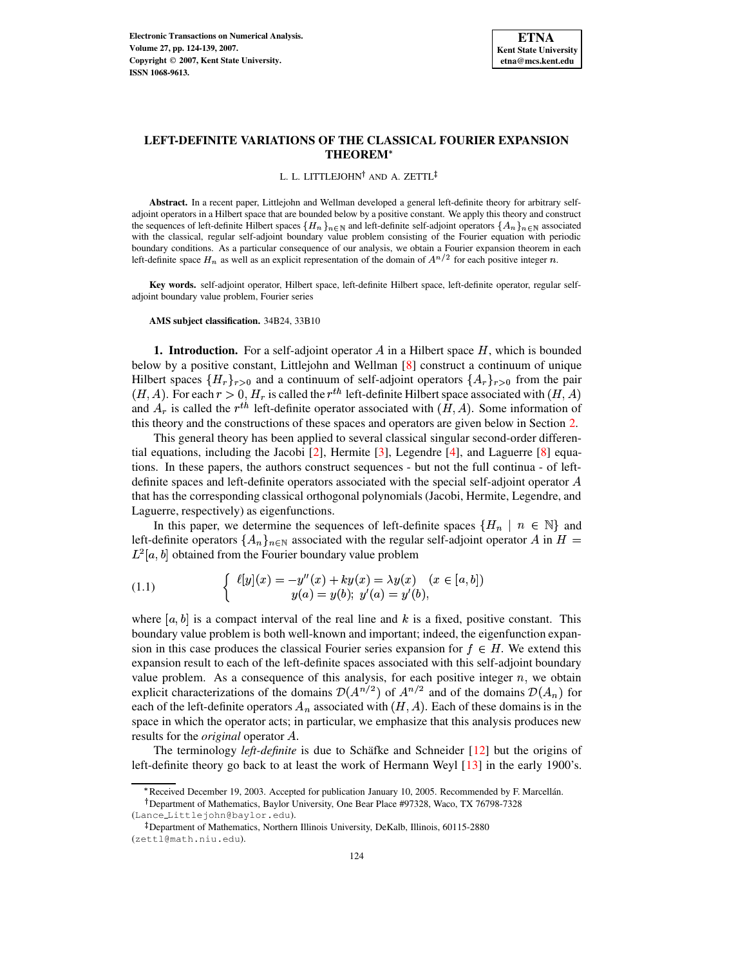### L. L. LITTLEJOHN<sup>†</sup> and A. ZETTL

**Abstract.** In a recent paper, Littlejohn and Wellman developed a general left-definite theory for arbitrary selfadjoint operators in a Hilbert space that are bounded below by a positive constant. We apply this theory and construct the sequences of left-definite Hilbert spaces  $\{H_n\}_{n\in\mathbb{N}}$  and left-definite self-adjoint operators  $\{A_n\}_{n\in\mathbb{N}}$  associated with the classical, regular self-adjoint boundary value problem consisting of the Fourier equation with periodic boundary conditions. As a particular consequence of our analysis, we obtain a Fourier expansion theorem in each left-definite space  $H_n$  as well as an explicit representation of the domain of  $A^{n/2}$  for each positive integer n.

**Key words.** self-adjoint operator, Hilbert space, left-definite Hilbert space, left-definite operator, regular selfadjoint boundary value problem, Fourier series

**AMS subject classification.** 34B24, 33B10

**1. Introduction.** For a self-adjoint operator  $\overline{A}$  in a Hilbert space  $H$ , which is bounded below by a positive constant, Littlejohn and Wellman [\[8\]](#page-15-0) construct a continuum of unique Hilbert spaces  $\{H_r\}_{r>0}$  and a continuum of self-adjoint operators  $\{A_r\}_{r>0}$  from the pair  $(H, A)$ . For each  $r > 0$ ,  $H_r$  is called the  $r<sup>th</sup>$  left-definite Hilbert space associated with  $(H, A)$ and  $A_r$  is called the  $r^{th}$  left-definite operator associated with  $(H, A)$ . Some information of this theory and the constructions of these spaces and operators are given below in Section [2.](#page-1-0)

This general theory has been applied to several classical singular second-order differential equations, including the Jacobi [\[2\]](#page-14-0), Hermite [\[3\]](#page-14-1), Legendre [\[4\]](#page-14-2), and Laguerre [\[8\]](#page-15-0) equations. In these papers, the authors construct sequences - but not the full continua - of leftdefinite spaces and left-definite operators associated with the special self-adjoint operator  $A$ that has the corresponding classical orthogonal polynomials (Jacobi, Hermite, Legendre, and Laguerre, respectively) as eigenfunctions.

In this paper, we determine the sequences of left-definite spaces  $\{H_n \mid n \in \mathbb{N}\}\$  and left-definite operators  $\{A_n\}_{n\in\mathbb{N}}$  associated with the regular self-adjoint operator A in  $H=$  $L^2[a, b]$  obtained from the Fourier boundary value problem

<span id="page-0-0"></span>(1.1) 
$$
\begin{cases} \ell[y](x) = -y''(x) + ky(x) = \lambda y(x) & (x \in [a, b]) \\ y(a) = y(b); \ y'(a) = y'(b), \end{cases}
$$

where  $[a, b]$  is a compact interval of the real line and k is a fixed, positive constant. This boundary value problem is both well-known and important; indeed, the eigenfunction expansion in this case produces the classical Fourier series expansion for  $f \in H$ . We extend this expansion result to each of the left-definite spaces associated with this self-adjoint boundary value problem. As a consequence of this analysis, for each positive integer  $n$ , we obtain explicit characterizations of the domains  $\mathcal{D}(A^{n/2})$  of  $A^{n/2}$  and of the domains  $\mathcal{D}(A_n)$  for each of the left-definite operators  $A_n$  associated with  $(H, A)$ . Each of these domains is in the space in which the operator acts; in particular, we emphasize that this analysis produces new results for the *original* operator A.

The terminology *left-definite* is due to Schäfke and Schneider [\[12\]](#page-15-1) but the origins of left-definite theory go back to at least the work of Hermann Weyl [\[13\]](#page-15-2) in the early 1900's.

<sup>\*</sup> Received December 19, 2003. Accepted for publication January 10, 2005. Recommended by F. Marcellán.

Department of Mathematics, Baylor University, One Bear Place #97328, Waco, TX 76798-7328 (Lance Littlejohn@baylor.edu).

<sup>-</sup> Department of Mathematics, Northern Illinois University, DeKalb, Illinois, 60115-2880 (zettl@math.niu.edu).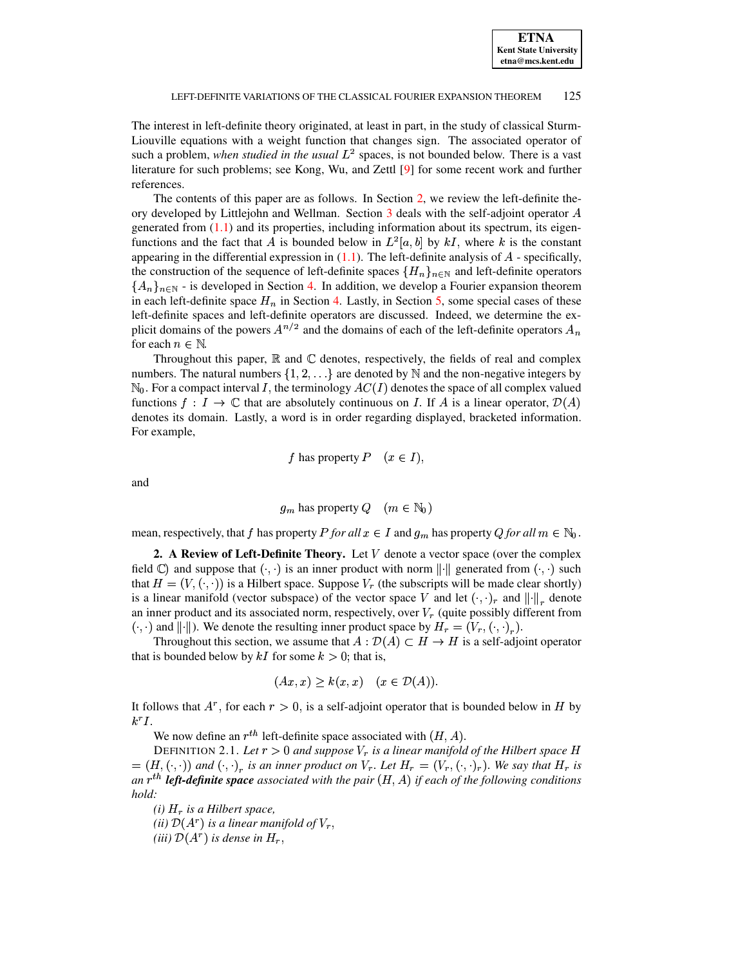The interest in left-definite theory originated, at least in part, in the study of classical Sturm-Liouville equations with a weight function that changes sign. The associated operator of such a problem, *when studied in the usual*  $L^2$  spaces, is not bounded below. There is a vast literature for such problems; see Kong, Wu, and Zettl [\[9\]](#page-15-3) for some recent work and further references.

The contents of this paper are as follows. In Section [2,](#page-1-0) we review the left-definite theory developed by Littlejohn and Wellman. Section  $3$  deals with the self-adjoint operator  $A$ generated from  $(1.1)$  and its properties, including information about its spectrum, its eigenfunctions and the fact that A is bounded below in  $L^2[a, b]$  by kI, where k is the constant appearing in the differential expression in  $(1,1)$ . The left-definite analysis of  $A$  - specifically, the construction of the sequence of left-definite spaces  $\{H_n\}_{n\in\mathbb{N}}$  and left-definite operators  $\{A_n\}_{n\in\mathbb{N}}$  - is developed in Section [4.](#page-5-0) In addition, we develop a Fourier expansion theorem in each left-definite space  $H_n$  in Section [4.](#page-5-0) Lastly, in Section [5,](#page-13-0) some special cases of these left-definite spaces and left-definite operators are discussed. Indeed, we determine the explicit domains of the powers  $A^{n/2}$  and the domains of each of the left-definite operators  $A_n$ for each  $n \in \mathbb{N}$ 

Throughout this paper,  $\mathbb R$  and  $\mathbb C$  denotes, respectively, the fields of real and complex numbers. The natural numbers  $\{1, 2, \ldots\}$  are denoted by N and the non-negative integers by  $\mathbb{N}_0$ . For a compact interval I, the terminology  $AC(I)$  denotes the space of all complex valued functions  $f: I \to \mathbb{C}$  that are absolutely continuous on I. If A is a linear operator,  $\mathcal{D}(A)$ denotes its domain. Lastly, a word is in order regarding displayed, bracketed information. For example,

f has property  $P$   $(x \in I)$ ,

and zero and zero and zero and zero and zero and zero and zero and zero and zero and zero and zero and zero and

$$
g_m
$$
 has property  $Q$   $(m \in \mathbb{N}_0)$ 

mean, respectively, that f has property P for all  $x \in I$  and  $g_m$  has property Q for all  $m \in \mathbb{N}_0$ .

<span id="page-1-0"></span>**2. A** Review of Left-Definite Theory. Let  $V$  denote a vector space (over the complex field  $\mathbb{C}$ ) and suppose that  $( \cdot, \cdot)$  is an inner product with norm  $\| \cdot \|$  generated from  $( \cdot, \cdot)$  such that  $H = (V, (\cdot, \cdot))$  is a Hilbert space. Suppose  $V_r$  (the subscripts will be made clear shortly) is a linear manifold (vector subspace) of the vector space V and let  $(\cdot, \cdot)_r$  and  $\| \cdot \|_r$  denote an inner product and its associated norm, respectively, over  $V_r$  (quite possibly different from  $( \cdot, \cdot)$  and  $\| \cdot \|$ ). We denote the resulting inner product space by  $H_r = (V_r, (\cdot, \cdot)_r)$ .

Throughout this section, we assume that  $A: \mathcal{D}(A) \subset H \to H$  is a self-adjoint operator that is bounded below by  $kI$  for some  $k > 0$ ; that is,

$$
(Ax, x) \ge k(x, x) \quad (x \in \mathcal{D}(A)).
$$

It follows that  $A^r$ , for each  $r > 0$ , is a self-adjoint operator that is bounded below in H by  $k^rI$ .

We now define an  $r^{th}$  left-definite space associated with  $(H, A)$ .

<span id="page-1-1"></span>DEFINITION 2.1. Let  $r > 0$  and suppose  $V_r$  is a linear manifold of the Hilbert space H  $F = (H, (\cdot, \cdot))$  and  $(\cdot, \cdot)_r$  is an inner product on  $V_r$ . Let  $H_r = (V_r, (\cdot, \cdot)_r)$ . We say that  $H_r$  is *an*  $r^{th}$  *left-definite* space associated with the pair  $(H, A)$  if each of the following conditions *hold:*

*(i)*  $H_r$  *is a Hilbert space,* 

*(ii)*  $\mathcal{D}(A^r)$  *is a linear manifold of*  $V_r$ ,

*(iii)*  $\mathcal{D}(A^r)$  *is dense in*  $H_r$ ,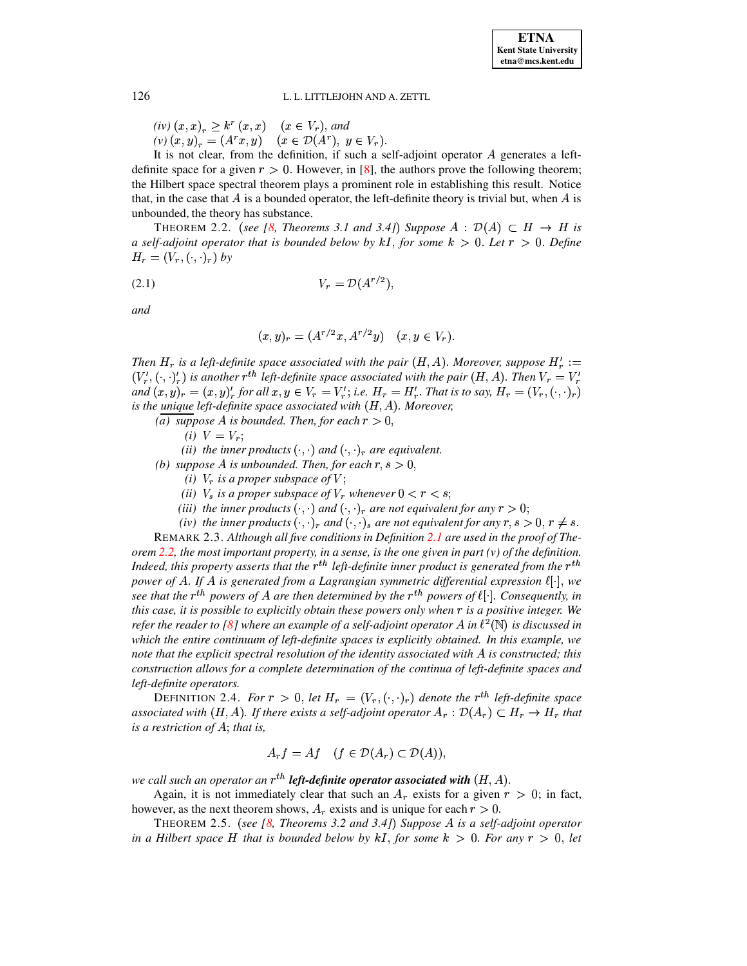$(iv) (x, x)_r \geq k^r (x, x) \quad (x \in V_r),$  and  $(v) (x, y)_r = (A^r x, y) \quad (x \in \mathcal{D}(A^r), y \in V_r).$ 

It is not clear, from the definition, if such a self-adjoint operator  $A$  generates a leftdefinite space for a given  $r>0$ . However, in [\[8\]](#page-15-0), the authors prove the following theorem; the Hilbert space spectral theorem plays a prominent role in establishing this result. Notice that, in the case that  $A$  is a bounded operator, the left-definite theory is trivial but, when  $A$  is unbounded, the theory has substance.

<span id="page-2-0"></span>**THEOREM** 2.2. (see [\[8,](#page-15-0) Theorems 3.1 and 3.4]) Suppose  $A : \mathcal{D}(A) \subset H \to H$  is *a* self-adjoint operator that is bounded below by  $kI$ , for some  $k > 0$ . Let  $r > 0$ . Define  $H_r = (V_r, (\cdot, \cdot)_r)$  by

$$
(2.1) \t\t V_r = \mathcal{D}(A^{r/2}),
$$

*and*

$$
(x, y)_r = (A^{r/2}x, A^{r/2}y) \quad (x, y \in V_r).
$$

*Then*  $H_r$  is a left-definite space associated with the pair  $(H, A)$ . Moreover, suppose  $H'_r :=$  $(V'_r, (\cdot, \cdot)'_r)$  is another  $r^{th}$  left-definite space associated with the pair  $(H, A)$ . Then  $V_r = V'_r$  $f_n$  and  $(x, y)_r = (x, y)_r^l$  for all  $x, y \in V_r = V'_r$ ; i.e.  $H_r = H'_r$ . That is to say,  $H_r = (V_r, (\cdot, \cdot)_r)$  $i$ *s* the *unique left-definite space associated with*  $(H, A)$ *. Moreover,* 

- *(a) suppose A is bounded. Then, for each*  $r > 0$ ,
	- *(i)*  $V = V_r$ ;

*(ii) the inner products*  $( \cdot, \cdot )$  *and*  $( \cdot, \cdot )$ <sub>*r*</sub> *are equivalent.* 

- *(b) suppose* A *is unbounded. Then, for each*  $r, s > 0$ ,
	- *(i)*  $V_r$  *is a proper subspace of*  $V$ ;
	- *(ii)*  $V_s$  *is a proper subspace of*  $V_r$  *whenever*  $0 < r < s$ ;
	- *(iii) the inner products*  $( \cdot, \cdot )$  *and*  $( \cdot, \cdot )$ <sub>*r*</sub> *are not equivalent for any*  $r > 0$ ;
	- *(iv)* the inner products  $( \cdot, \cdot)_r$  and  $( \cdot, \cdot)_s$  are not equivalent for any  $r, s > 0, r \neq s$ .

REMARK 2.3. *Although all five conditions in Definition [2.1](#page-1-1) are used in the proof of The-*orem [2.2,](#page-2-0) the most important property, in a sense, is the one given in part  $(v)$  of the definition. *Indeed, this property asserts that the*  $r^{th}$  *left-definite inner product is generated from the*  $r^{th}$ *power* of A. If A is generated from a Lagrangian symmetric differential expression  $\ell[\cdot]$ , we *see* that the  $r^{th}$  powers of A are then determined by the  $r^{th}$  powers of  $\ell$  |  $\ell$  Consequently, in *this case, it is possible to explicitly obtain these powers only when* - *is a positive integer. We refer the reader to* [\[8\]](#page-15-0) *where an example of a self-adjoint operator* A *in*  $\ell^2(\mathbb{N})$  *is discussed in which the entire continuum of left-definite spaces is explicitly obtained. In this example, we note that the explicit spectral resolution of the identity associated with is constructed; this construction allows for a complete determination of the continua of left-definite spaces and left-definite operators.*

DEFINITION 2.4. *For*  $r > 0$ , let  $H_r = (V_r, (\cdot, \cdot)_r)$  denote the  $r^{th}$  left-definite space *associated* with  $(H, A)$ . If there exists a self-adjoint operator  $A_r : \mathcal{D}(A_r) \subset H_r \to H_r$  that  $i$ *s a restriction of*  $A$ ; *that is*,

$$
A_r f = Af \quad (f \in \mathcal{D}(A_r) \subset \mathcal{D}(A)),
$$

*we* call such an operator an  $r^{th}$  **left-definite operator associated with**  $(H, A)$ .

Again, it is not immediately clear that such an  $A_r$  exists for a given  $r > 0$ ; in fact, however, as the next theorem shows,  $A_r$  exists and is unique for each  $r>0$ .

<span id="page-2-1"></span>THEOREM 2.5. ' *see [\[8,](#page-15-0) Theorems 3.2 and 3.4]* <sup>+</sup> *Suppose is a self-adjoint operator in* a Hilbert space H that is bounded below by kI, for some  $k > 0$ . For any  $r > 0$ , let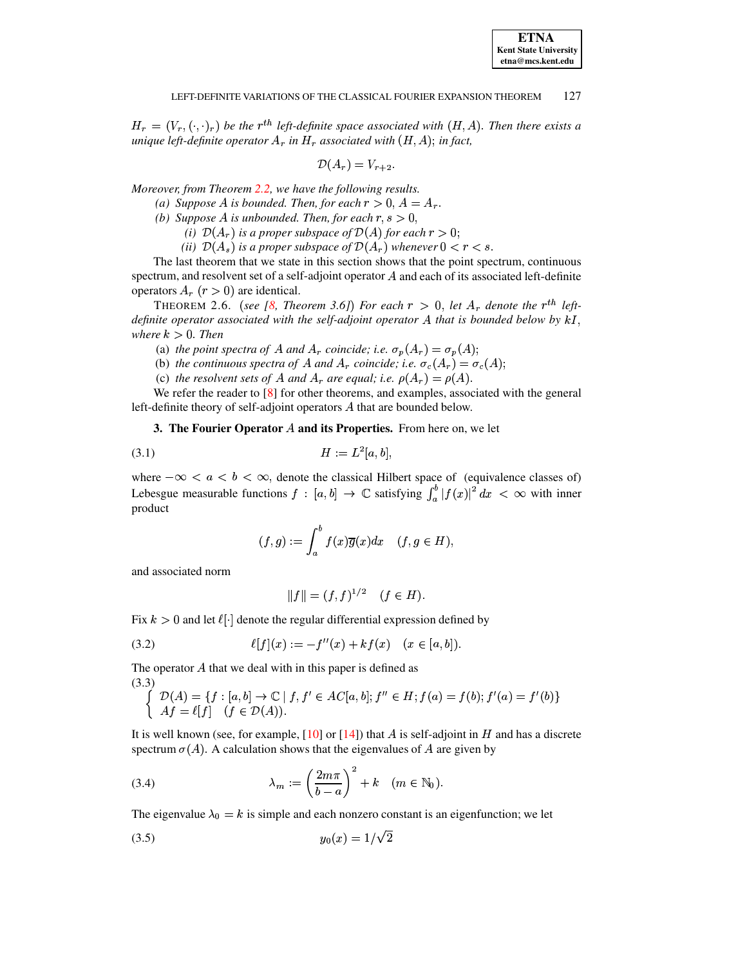$H_r = (V_r, (\cdot, \cdot)_r)$  be the  $r^{th}$  left-definite space associated with  $(H, A)$ . Then there exists a *unique left-definite operator*  $A_r$  *in*  $H_r$  *associated with*  $(H, A)$ ; *in fact,* 

$$
\mathcal{D}(A_r) = V_{r+2}.
$$

*Moreover, from Theorem [2.2,](#page-2-0) we have the following results.*

- *(a) Suppose A is bounded. Then, for each*  $r > 0$ ,  $A = A_r$ .
- *(b) Suppose A is unbounded. Then, for each*  $r, s > 0$ ,
	- *(i)*  $\mathcal{D}(A_r)$  *is a proper subspace of*  $\mathcal{D}(A)$  *for each*  $r > 0$ ;
	- *(ii)*  $\mathcal{D}(A_s)$  *is a proper subspace of*  $\mathcal{D}(A_r)$  *whenever*  $0 < r < s$ .

The last theorem that we state in this section shows that the point spectrum, continuous spectrum, and resolvent set of a self-adjoint operator  $A$  and each of its associated left-definite operators  $A_r$   $(r > 0)$  are identical.

<span id="page-3-6"></span>**THEOREM** 2.6. (see [\[8,](#page-15-0) Theorem 3.6]) For each  $r > 0$ , let  $A_r$  denote the  $r^{th}$  left*definite operator associated with the self-adjoint operator A that is bounded below by*  $kI$ , *where*  $k > 0$ *. Then* 

(a) *the point spectra of* A *and*  $A_r$  *coincide; i.e.*  $\sigma_p(A_r) = \sigma_p(A)$ ;

- (b) *the continuous spectra of* A and  $A_r$  *coincide; i.e.*  $\sigma_c(A_r) = \sigma_c(A)$ ;
- (c) *the resolvent sets of A and*  $A_r$  *are equal; <i>i.e.*  $\rho(A_r) = \rho(A)$ .

<span id="page-3-0"></span>We refer the reader to [\[8\]](#page-15-0) for other theorems, and examples, associated with the general left-definite theory of self-adjoint operators  $A$  that are bounded below.

**3. The Fourier Operator and its Properties.** From here on, we let

$$
(3.1) \t\t\t H := L^2[a, b],
$$

where  $-\infty < a < b < \infty$ , denote the classical Hilbert space of (equivalence classes of) Lebesgue measurable functions  $f : [a, b] \to \mathbb{C}$  satisfying  $\int_a^b |f(x)|^2 dx < \infty$  with inner product

<span id="page-3-3"></span>
$$
(f,g):=\int_a^b f(x)\overline{g}(x)dx\quad (f,g\in H),
$$

and associated norm

<span id="page-3-5"></span><span id="page-3-4"></span><span id="page-3-2"></span><span id="page-3-1"></span>
$$
||f|| = (f, f)^{1/2} \quad (f \in H).
$$

Fix  $k > 0$  and let  $\ell | \cdot |$  denote the regular differential expression defined by

(3.2) 
$$
\ell[f](x) := -f''(x) + kf(x) \quad (x \in [a, b]).
$$

The operator  $A$  that we deal with in this paper is defined as (3.3)

$$
\begin{cases}\n\mathcal{D}(A) = \{f : [a, b] \to \mathbb{C} \mid f, f' \in AC[a, b]; f'' \in H; f(a) = f(b); f'(a) = f'(b)\} \\
Af = \ell[f] \quad (f \in \mathcal{D}(A)).\n\end{cases}
$$

It is well known (see, for example,  $[10]$  or  $[14]$ ) that A is self-adjoint in H and has a discrete spectrum  $\sigma(A)$ . A calculation shows that the eigenvalues of A are given by

(3.4) 
$$
\lambda_m := \left(\frac{2m\pi}{b-a}\right)^2 + k \quad (m \in \mathbb{N}_0).
$$

The eigenvalue  $\lambda_0 = k$  is simple and each nonzero constant is an eigenfunction; we let

$$
(3.5) \t\t y_0(x) = 1/\sqrt{2}
$$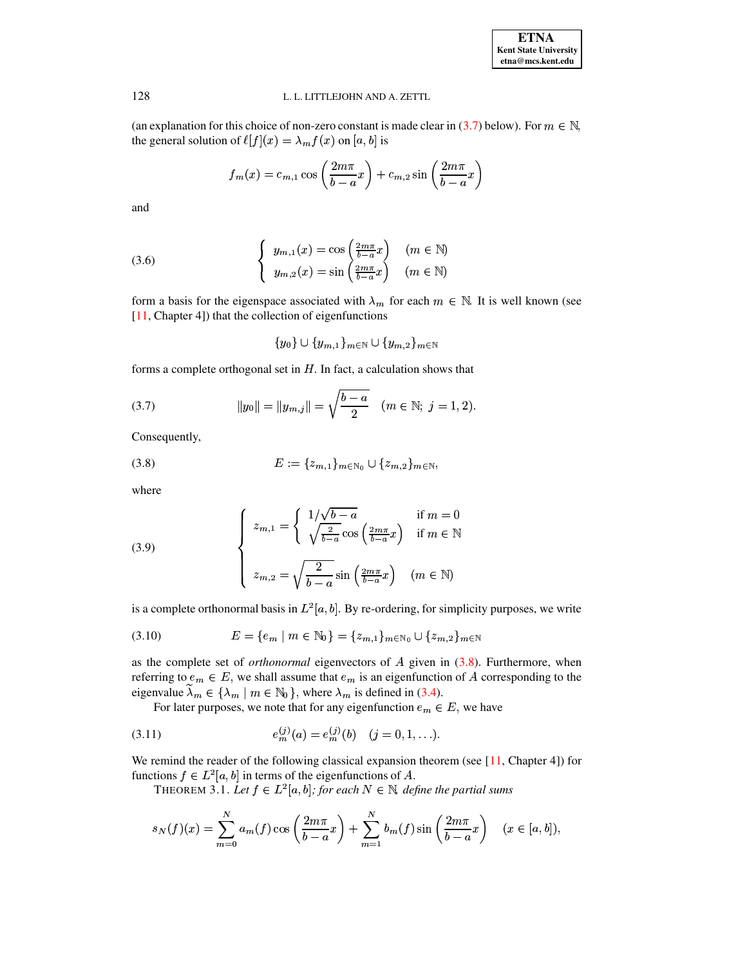(an explanation for this choice of non-zero constant is made clear in (3.7) below). For  $m \in \mathbb{N}$ , the general solution of  $\ell[f](x) = \lambda_m f(x)$  on [a, b] is

$$
f_m(x) = c_{m,1} \cos\left(\frac{2m\pi}{b-a}x\right) + c_{m,2} \sin\left(\frac{2m\pi}{b-a}x\right)
$$

<span id="page-4-5"></span>and

(3.6) 
$$
\begin{cases} y_{m,1}(x) = \cos\left(\frac{2m\pi}{b-a}x\right) & (m \in \mathbb{N})\\ y_{m,2}(x) = \sin\left(\frac{2m\pi}{b-a}x\right) & (m \in \mathbb{N}) \end{cases}
$$

form a basis for the eigenspace associated with  $\lambda_m$  for each  $m \in \mathbb{N}$ . It is well known (see  $[11, Chapter 4]$ ) that the collection of eigenfunctions

<span id="page-4-3"></span><span id="page-4-0"></span>
$$
\{y_0\}\cup\{y_{m,1}\}_{m\in\mathbb{N}}\cup\{y_{m,2}\}_{m\in\mathbb{N}}
$$

forms a complete orthogonal set in  $H$ . In fact, a calculation shows that

(3.7) 
$$
||y_0|| = ||y_{m,j}|| = \sqrt{\frac{b-a}{2}} \quad (m \in \mathbb{N}; j = 1, 2).
$$

<span id="page-4-1"></span>Consequently,

(3.8) 
$$
E := \{z_{m,1}\}_{m \in \mathbb{N}_0} \cup \{z_{m,2}\}_{m \in \mathbb{N}},
$$

<span id="page-4-4"></span>where

(3.9) 
$$
\begin{cases} z_{m,1} = \begin{cases} 1/\sqrt{b-a} & \text{if } m = 0\\ \sqrt{\frac{2}{b-a}} \cos\left(\frac{2m\pi}{b-a}x\right) & \text{if } m \in \mathbb{N} \end{cases} \\ z_{m,2} = \sqrt{\frac{2}{b-a}} \sin\left(\frac{2m\pi}{b-a}x\right) & (m \in \mathbb{N}) \end{cases}
$$

is a complete orthonormal basis in  $L^2[a, b]$ . By re-ordering, for simplicity purposes, we write

$$
(3.10) \t E = \{e_m \mid m \in \mathbb{N}_0\} = \{z_{m,1}\}_{m \in \mathbb{N}_0} \cup \{z_{m,2}\}_{m \in \mathbb{N}}
$$

as the complete set of *orthonormal* eigenvectors of  $A$  given in  $(3.8)$ . Furthermore, when referring to  $e_m \in E$ , we shall assume that  $e_m$  is an eigenfunction of A corresponding to the eigenvalue  $\lambda_m \in \{\lambda_m \mid m \in \mathbb{N}_0\}$ , where  $\lambda_m$  is defined in (3.4).

<span id="page-4-2"></span>For later purposes, we note that for any eigenfunction  $e_m \in E$ , we have

(3.11) 
$$
e_m^{(j)}(a) = e_m^{(j)}(b) \quad (j = 0, 1, ...).
$$

<span id="page-4-6"></span>We remind the reader of the following classical expansion theorem (see  $[11,$  Chapter 4]) for functions  $f \in L^2[a, b]$  in terms of the eigenfunctions of A.

THEOREM 3.1. Let  $f \in L^2[a, b]$ ; for each  $N \in \mathbb{N}$ , define the partial sums

$$
s_N(f)(x) = \sum_{m=0}^{N} a_m(f) \cos\left(\frac{2m\pi}{b-a}x\right) + \sum_{m=1}^{N} b_m(f) \sin\left(\frac{2m\pi}{b-a}x\right) \quad (x \in [a, b]),
$$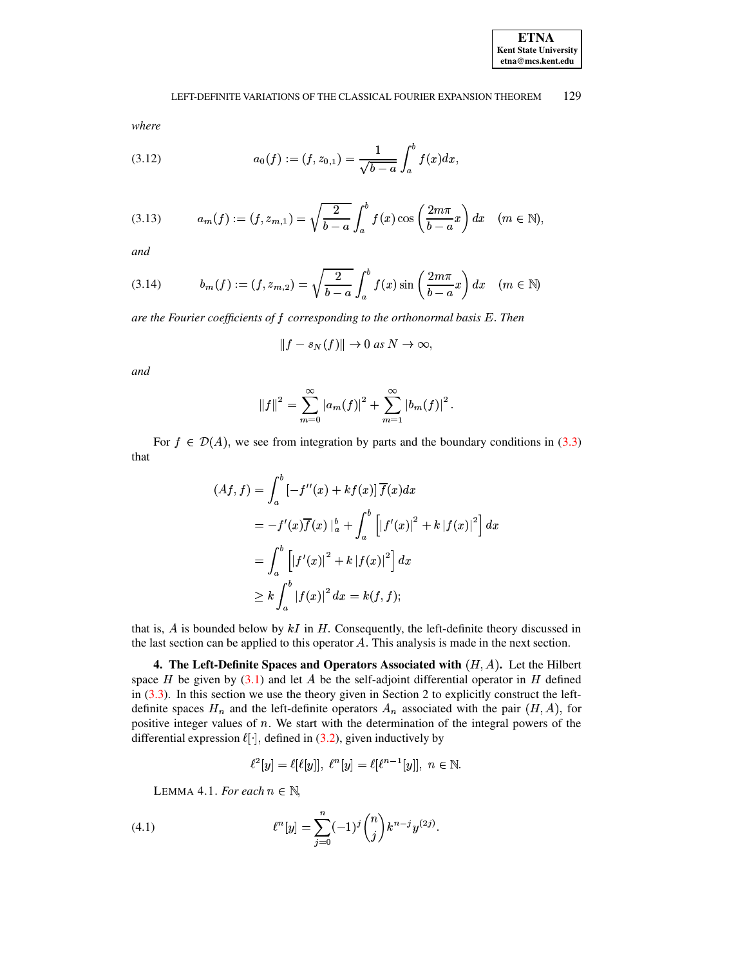

<span id="page-5-2"></span>where

(3.12) 
$$
a_0(f) := (f, z_{0,1}) = \frac{1}{\sqrt{b-a}} \int_a^b f(x) dx
$$

<span id="page-5-3"></span>(3.13) 
$$
a_m(f) := (f, z_{m,1}) = \sqrt{\frac{2}{b-a}} \int_a^b f(x) \cos\left(\frac{2m\pi}{b-a}x\right) dx \quad (m \in \mathbb{N}),
$$

<span id="page-5-4"></span>and

(3.14) 
$$
b_m(f) := (f, z_{m,2}) = \sqrt{\frac{2}{b-a}} \int_a^b f(x) \sin\left(\frac{2m\pi}{b-a}x\right) dx \quad (m \in \mathbb{N})
$$

are the Fourier coefficients of  $f$  corresponding to the orthonormal basis  $E$ . Then

$$
||f - s_N(f)|| \to 0 \text{ as } N \to \infty
$$

and

$$
||f||^{2} = \sum_{m=0}^{\infty} |a_{m}(f)|^{2} + \sum_{m=1}^{\infty} |b_{m}(f)|^{2}.
$$

For  $f \in \mathcal{D}(A)$ , we see from integration by parts and the boundary conditions in (3.3) that

$$
(Af, f) = \int_{a}^{b} [-f''(x) + kf(x)] \overline{f}(x) dx
$$
  
=  $-f'(x) \overline{f}(x) \Big|_{a}^{b} + \int_{a}^{b} [[f'(x)]^{2} + k |f(x)|^{2}] dx$   
=  $\int_{a}^{b} [[f'(x)]^{2} + k |f(x)|^{2}] dx$   
 $\geq k \int_{a}^{b} |f(x)|^{2} dx = k(f, f);$ 

that is,  $A$  is bounded below by  $kI$  in  $H$ . Consequently, the left-definite theory discussed in the last section can be applied to this operator  $A$ . This analysis is made in the next section.

<span id="page-5-0"></span>4. The Left-Definite Spaces and Operators Associated with  $(H, A)$ . Let the Hilbert space  $H$  be given by (3.1) and let  $A$  be the self-adjoint differential operator in  $H$  defined in  $(3.3)$ . In this section we use the theory given in Section 2 to explicitly construct the leftdefinite spaces  $H_n$  and the left-definite operators  $A_n$  associated with the pair  $(H, A)$ , for positive integer values of  $n$ . We start with the determination of the integral powers of the differential expression  $\ell[\cdot]$ , defined in (3.2), given inductively by

<span id="page-5-1"></span>
$$
\ell^2[y] = \ell[\ell[y]], \ \ell^n[y] = \ell[\ell^{n-1}[y]], \ n \in \mathbb{N}.
$$

LEMMA 4.1. For each  $n \in \mathbb{N}$ ,

(4.1) 
$$
\ell^{n}[y] = \sum_{j=0}^{n} (-1)^{j} {n \choose j} k^{n-j} y^{(2j)}.
$$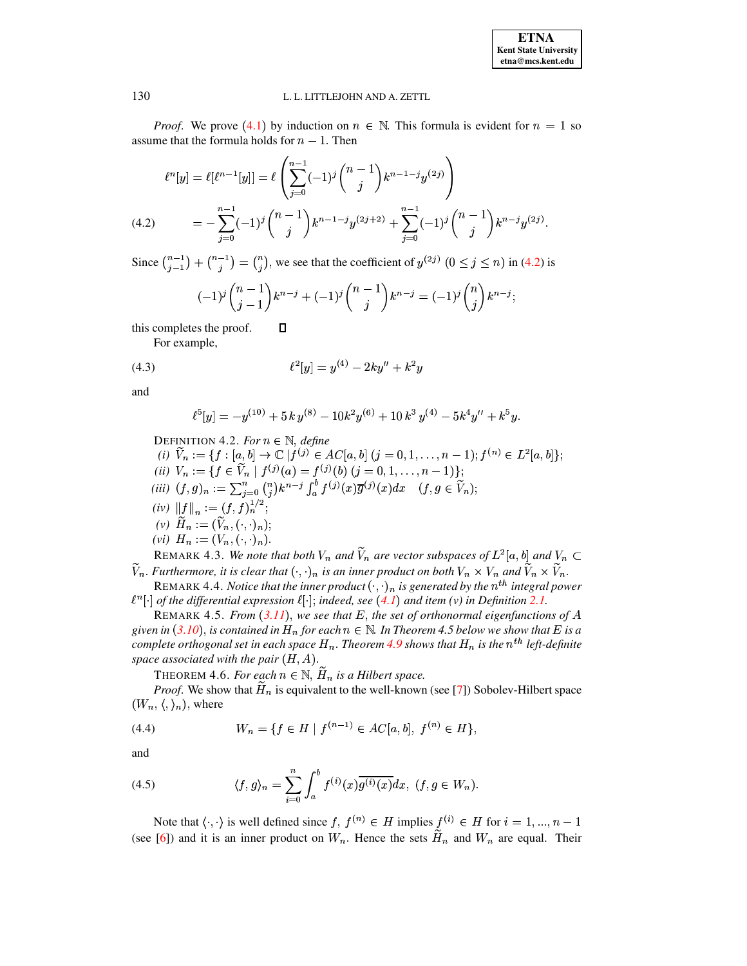*Proof.* We prove (4.1) by induction on  $n \in \mathbb{N}$ . This formula is evident for  $n = 1$  so assume that the formula holds for  $n-1$ . Then

$$
\ell^{n}[y] = \ell[\ell^{n-1}[y]] = \ell\left(\sum_{j=0}^{n-1}(-1)^{j}\binom{n-1}{j}k^{n-1-j}y^{(2j)}\right)
$$
  
(4.2) 
$$
= -\sum_{j=0}^{n-1}(-1)^{j}\binom{n-1}{j}k^{n-1-j}y^{(2j+2)} + \sum_{j=0}^{n-1}(-1)^{j}\binom{n-1}{j}k^{n-j}y^{(2j)}.
$$

<span id="page-6-0"></span>Since  $\binom{n-1}{i-1} + \binom{n-1}{i} = \binom{n}{i}$ , we see that the coefficient of  $y^{(2j)}$   $(0 \le j \le n)$  in (4.2) is

$$
(-1)^j \binom{n-1}{j-1} k^{n-j} + (-1)^j \binom{n-1}{j} k^{n-j} = (-1)^j \binom{n}{j} k^{n-j};
$$

<span id="page-6-2"></span>this completes the proof. Д

For example,

(4.3) 
$$
\ell^2[y] = y^{(4)} - 2ky'' + k^2y
$$

<span id="page-6-1"></span>and

$$
\ell^5[y] = -y^{(10)} + 5 k y^{(8)} - 10 k^2 y^{(6)} + 10 k^3 y^{(4)} - 5 k^4 y'' + k^5 y.
$$

DEFINITION 4.2. For  $n \in \mathbb{N}$ , define

(i)  $\widetilde{V}_n := \{ f : [a, b] \to \mathbb{C} \mid f^{(j)} \in AC[a, b] \ (j = 0, 1, \ldots, n-1) ; f^{(n)} \in L^2[a, b] \};$ (ii)  $V_n := \{ f \in V_n \mid f^{(j)}(a) = f^{(j)}(b) \ (j = 0, 1, ..., n-1) \};$ <br>(iii)  $(f, g)_n := \sum_{j=0}^n {n \choose j} k^{n-j} \int_a^b f^{(j)}(x) \overline{g}^{(j)}(x) dx \quad (f, g \in V_n);$ (iv)  $||f||_n := (f, f)_n^{1/2};$ (v)  $\widetilde{H}_n := (\widetilde{V}_n, (\cdot, \cdot)_n);$ (vi)  $H_n := (V_n, (\cdot, \cdot)_n).$ REMARK 4.3. We note that both  $V_n$  and  $\tilde{V}_n$  are vector subspaces of  $L^2[a, b]$  and  $V_n \subset$ 

 $\widetilde{V}_n$ . Furthermore, it is clear that  $(\cdot,\cdot)_n$  is an inner product on both  $V_n\times V_n$  and  $\widetilde{V}_n\times \widetilde{V}_n$ .

REMARK 4.4. Notice that the inner product  $(\cdot, \cdot)_n$  is generated by the  $n^{th}$  integral power  $\ell^n[\cdot]$  of the differential expression  $\ell[\cdot]$ ; indeed, see (4.1) and item (v) in Definition 2.1.

REMARK 4.5. From  $(3.11)$ , we see that E, the set of orthonormal eigenfunctions of A given in (3.10), is contained in  $H_n$  for each  $n \in \mathbb{N}$ . In Theorem 4.5 below we show that E is a complete orthogonal set in each space  $H_n$ . Theorem 4.9 shows that  $H_n$  is the  $n^{th}$  left-definite space associated with the pair  $(H, A)$ .

THEOREM 4.6. For each  $n \in \mathbb{N}$ ,  $\widetilde{H}_n$  is a Hilbert space.

*Proof.* We show that  $H_n$  is equivalent to the well-known (see [7]) Sobolev-Hilbert space  $(W_n, \langle, \rangle_n)$ , where

(4.4) 
$$
W_n = \{ f \in H \mid f^{(n-1)} \in AC[a, b], f^{(n)} \in H \},
$$

and

(4.5) 
$$
\langle f, g \rangle_n = \sum_{i=0}^n \int_a^b f^{(i)}(x) \overline{g^{(i)}(x)} dx, \ (f, g \in W_n).
$$

Note that  $\langle \cdot, \cdot \rangle$  is well defined since  $f, f^{(n)} \in H$  implies  $f^{(i)} \in H$  for  $i = 1, ..., n - 1$ (see [6]) and it is an inner product on  $W_n$ . Hence the sets  $\widetilde{H}_n$  and  $W_n$  are equal. Their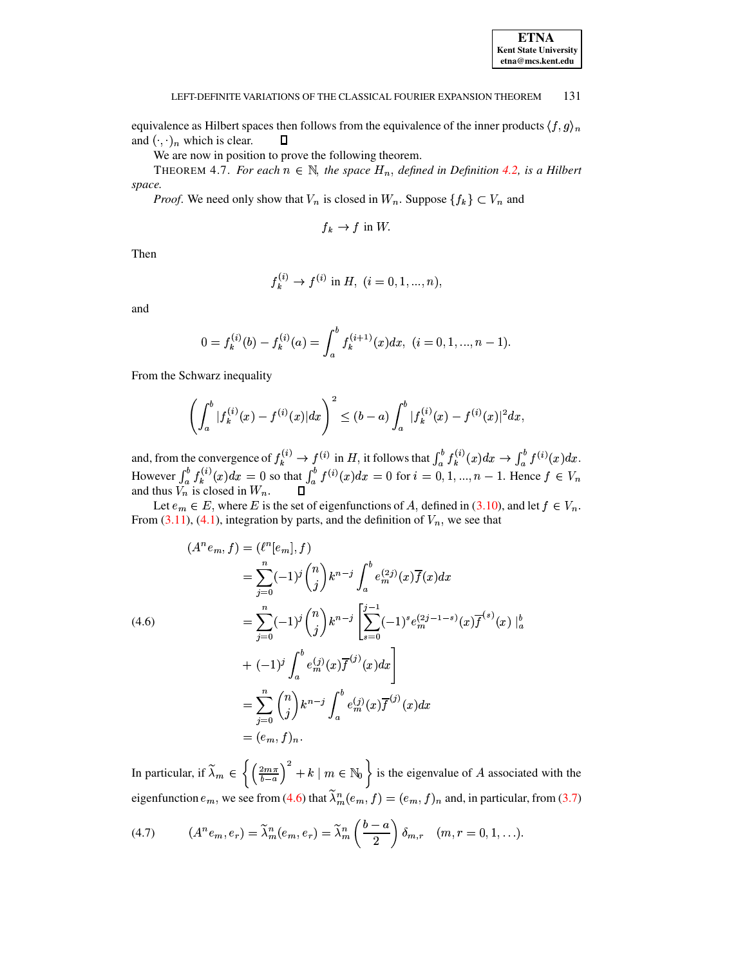equivalence as Hilbert spaces then follows from the equivalence of the inner products  $\langle f, g \rangle_n$ and  $(\cdot, \cdot)_n$  which is clear.  $\Box$ 

We are now in position to prove the following theorem.

<span id="page-7-2"></span>THEOREM 4.7. For each  $n \in \mathbb{N}$ , the space  $H_n$ , defined in Definition 4.2, is a Hilbert space.

*Proof.* We need only show that  $V_n$  is closed in  $W_n$ . Suppose  $\{f_k\} \subset V_n$  and

$$
f_k \to f
$$
 in W

Then

$$
f_k^{(i)} \to f^{(i)} \text{ in } H, \ (i = 0, 1, ..., n),
$$

and

$$
0 = f_k^{(i)}(b) - f_k^{(i)}(a) = \int_a^b f_k^{(i+1)}(x) dx, \ (i = 0, 1, ..., n - 1).
$$

From the Schwarz inequality

 $\mathbf{r}$ 

**Contract** 

$$
\left(\int_a^b |f_k^{(i)}(x) - f^{(i)}(x)|dx\right)^2 \le (b-a)\int_a^b |f_k^{(i)}(x) - f^{(i)}(x)|^2dx
$$

and, from the convergence of  $f_k^{(i)} \to f^{(i)}$  in H, it follows that  $\int_a^b f_k^{(i)}(x)dx \to \int_a^b f^{(i)}(x)dx$ .<br>However  $\int_a^b f_k^{(i)}(x)dx = 0$  so that  $\int_a^b f^{(i)}(x)dx = 0$  for  $i = 0, 1, ..., n - 1$ . Hence  $f \in V_n$  and thus  $V_n$  is closed in

Let  $e_m \in E$ , where E is the set of eigenfunctions of A, defined in (3.10), and let  $f \in V_n$ . From  $(3.11)$ ,  $(4.1)$ , integration by parts, and the definition of  $V_n$ , we see that

<span id="page-7-0"></span>
$$
(Anem, f) = (ln[em], f)
$$
  
=  $\sum_{j=0}^{n} (-1)^j {n \choose j} k^{n-j} \int_a^b e_m^{(2j)}(x) \overline{f}(x) dx$   
=  $\sum_{j=0}^{n} (-1)^j {n \choose j} k^{n-j} \left[ \sum_{s=0}^{j-1} (-1)^s e_m^{(2j-1-s)}(x) \overline{f}^{(s)}(x) \right]_a^b$   
+  $(-1)^j \int_a^b e_m^{(j)}(x) \overline{f}^{(j)}(x) dx$   
=  $\sum_{j=0}^{n} {n \choose j} k^{n-j} \int_a^b e_m^{(j)}(x) \overline{f}^{(j)}(x) dx$   
=  $(e_m, f)_n$ .

In particular, if  $\widetilde{\lambda}_m \in \left\{ \left( \frac{2m\pi}{b-a} \right)^2 + k \mid m \in \mathbb{N}_0 \right\}$  is the eigenvalue of A associated with the eigenfunction  $e_m$ , we see from (4.6) that  $\tilde{\lambda}_m^n(e_m, f) = (e_m, f)_n$  and, in particular, from (3.7)

<span id="page-7-1"></span>(4.7) 
$$
(A^n e_m, e_r) = \widetilde{\lambda}_m^n (e_m, e_r) = \widetilde{\lambda}_m^n \left( \frac{b-a}{2} \right) \delta_{m,r} \quad (m, r = 0, 1, \ldots).
$$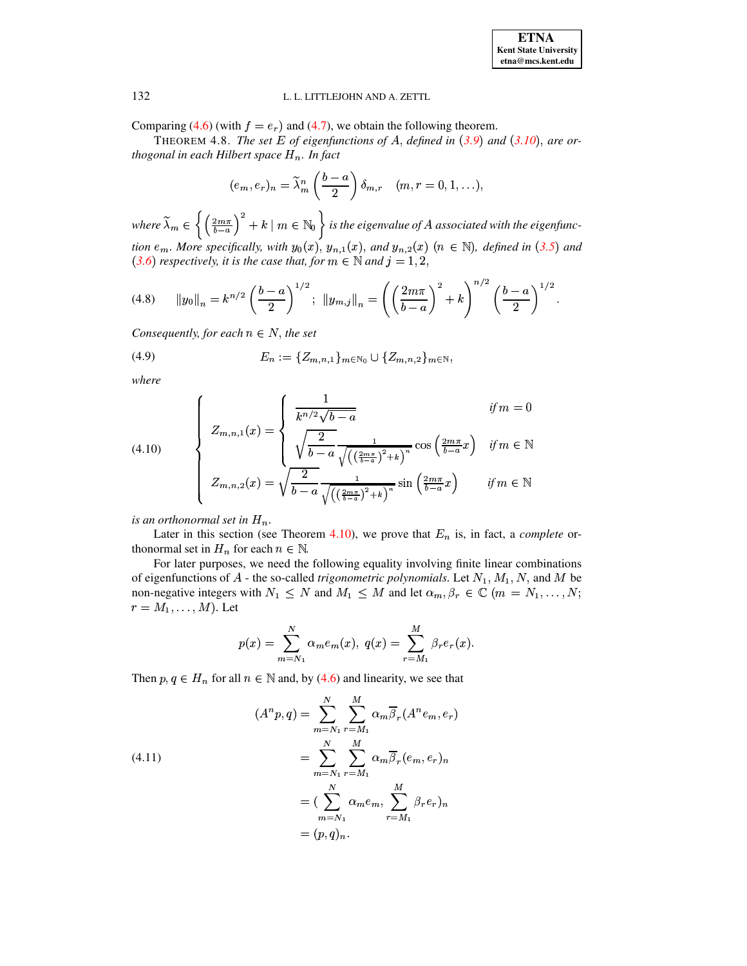<span id="page-8-1"></span>Comparing (4.6) (with  $f = e_r$ ) and (4.7), we obtain the following theorem.

THEOREM 4.8. The set E of eigenfunctions of A, defined in  $(3.9)$  and  $(3.10)$ , are orthogonal in each Hilbert space  $H_n$ . In fact

$$
(e_m, e_r)_n = \widetilde{\lambda}_m^n \left(\frac{b-a}{2}\right) \delta_{m,r} \quad (m, r = 0, 1, \ldots),
$$

where  $\widetilde{\lambda}_m \in \left\{ \left( \frac{2m\pi}{b-a} \right)^2 + k \mid m \in \mathbb{N}_0 \right\}$  is the eigenvalue of A associated with the eigenfunction  $e_m$ . More specifically, with  $y_0(x)$ ,  $y_{n,1}(x)$ , and  $y_{n,2}(x)$   $(n \in \mathbb{N})$ , defined in (3.5) and (3.6) respectively, it is the case that, for  $m \in \mathbb{N}$  and  $j = 1, 2$ ,

$$
(4.8) \t ||y_0||_n = k^{n/2} \left(\frac{b-a}{2}\right)^{1/2}; \t ||y_{m,j}||_n = \left(\left(\frac{2m\pi}{b-a}\right)^2 + k\right)^{n/2} \left(\frac{b-a}{2}\right)^{1/2}
$$

<span id="page-8-2"></span>Consequently, for each  $n \in N$ , the set

(4.9) 
$$
E_n := \{Z_{m,n,1}\}_{m \in \mathbb{N}_0} \cup \{Z_{m,n,2}\}_{m \in \mathbb{N}},
$$

<span id="page-8-3"></span>where

(4.10) 
$$
\begin{cases}\nZ_{m,n,1}(x) = \begin{cases}\n\frac{1}{k^{n/2}\sqrt{b-a}} & \text{if } m = 0 \\
\sqrt{\frac{2}{b-a}} \frac{1}{\sqrt{\left(\left(\frac{2m\pi}{b-a}\right)^2 + k\right)^n}} \cos\left(\frac{2m\pi}{b-a}x\right) & \text{if } m \in \mathbb{N} \\
Z_{m,n,2}(x) = \sqrt{\frac{2}{b-a}} \frac{1}{\sqrt{\left(\left(\frac{2m\pi}{b-a}\right)^2 + k\right)^n}} \sin\left(\frac{2m\pi}{b-a}x\right) & \text{if } m \in \mathbb{N}\n\end{cases}\n\end{cases}
$$

is an orthonormal set in  $H_n$ .

Later in this section (see Theorem 4.10), we prove that  $E_n$  is, in fact, a *complete* orthonormal set in  $H_n$  for each  $n \in \mathbb{N}$ .

For later purposes, we need the following equality involving finite linear combinations of eigenfunctions of A - the so-called *trigonometric polynomials*. Let  $N_1$ ,  $M_1$ , N, and M be non-negative integers with  $N_1 \leq N$  and  $M_1 \leq M$  and let  $\alpha_m, \beta_r \in \mathbb{C}$   $(m = N_1, \dots, N;$  $r = M_1, \ldots, M$ ). Let

$$
p(x) = \sum_{m=N_1}^{N} \alpha_m e_m(x), \ q(x) = \sum_{r=M_1}^{M} \beta_r e_r(x).
$$

Then  $p, q \in H_n$  for all  $n \in \mathbb{N}$  and, by (4.6) and linearity, we see that

<span id="page-8-0"></span>(4.11)  
\n
$$
(A^n p, q) = \sum_{m=N_1}^{N} \sum_{r=M_1}^{M} \alpha_m \overline{\beta}_r (A^n e_m, e_r)
$$
\n
$$
= \sum_{m=N_1}^{N} \sum_{r=M_1}^{M} \alpha_m \overline{\beta}_r (e_m, e_r)_n
$$
\n
$$
= (\sum_{m=N_1}^{N} \alpha_m e_m, \sum_{r=M_1}^{M} \beta_r e_r)_n
$$
\n
$$
= (p, q)_n.
$$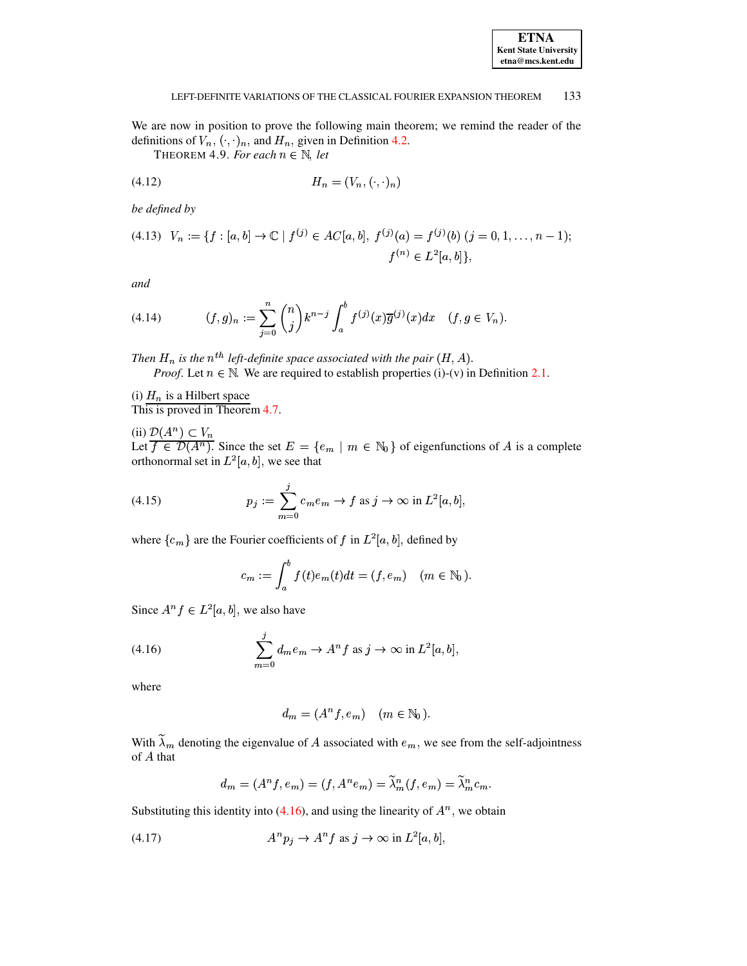## **ETNA Kent State University**  $etna@mcs. kent.edu$

#### 133 LEFT-DEFINITE VARIATIONS OF THE CLASSICAL FOURIER EXPANSION THEOREM

<span id="page-9-0"></span>We are now in position to prove the following main theorem; we remind the reader of the definitions of  $V_n$ ,  $(\cdot, \cdot)_n$ , and  $H_n$ , given in Definition 4.2.

THEOREM 4.9. For each  $n \in \mathbb{N}$ , let

$$
(4.12)\qquad H_n = (V_n, (\cdot, \cdot)_n)
$$

be defined by

$$
(4.13) \quad V_n := \{ f : [a, b] \to \mathbb{C} \mid f^{(j)} \in AC[a, b], \ f^{(j)}(a) = f^{(j)}(b) \ (j = 0, 1, \dots, n-1); \ f^{(n)} \in L^2[a, b] \},
$$

and

(4.14) 
$$
(f,g)_n := \sum_{j=0}^n \binom{n}{j} k^{n-j} \int_a^b f^{(j)}(x) \overline{g}^{(j)}(x) dx \quad (f,g \in V_n).
$$

Then  $H_n$  is the  $n^{th}$  left-definite space associated with the pair  $(H, A)$ .

*Proof.* Let  $n \in \mathbb{N}$ . We are required to establish properties (i)-(v) in Definition 2.1.

(i)  $H_n$  is a Hilbert space

This is proved in Theorem 4.7.

(ii)  $\mathcal{D}(A^n) \subset V_n$ <br>Let  $f \in \mathcal{D}(A^n)$ . Since the set  $E = \{e_m \mid m \in \mathbb{N}_0\}$  of eigenfunctions of A is a complete orthonormal set in  $L^2[a, b]$ , we see that

(4.15) 
$$
p_j := \sum_{m=0}^j c_m e_m \to f \text{ as } j \to \infty \text{ in } L^2[a, b].
$$

where  $\{c_m\}$  are the Fourier coefficients of f in  $L^2[a, b]$ , defined by

<span id="page-9-2"></span><span id="page-9-1"></span>
$$
c_m := \int_a^b f(t)e_m(t)dt = (f, e_m) \quad (m \in \mathbb{N}_0)
$$

Since  $A^n f \in L^2[a, b]$ , we also have

(4.16) 
$$
\sum_{m=0}^{j} d_m e_m \to A^n f \text{ as } j \to \infty \text{ in } L^2[a, b],
$$

where

<span id="page-9-3"></span>
$$
d_m = (A^n f, e_m) \quad (m \in \mathbb{N}_0).
$$

With  $\tilde{\lambda}_m$  denoting the eigenvalue of A associated with  $e_m$ , we see from the self-adjointness of A that

$$
d_m = (A^n f, e_m) = (f, A^n e_m) = \widetilde{\lambda}_m^n (f, e_m) = \widetilde{\lambda}_m^n c_m.
$$

Substituting this identity into (4.16), and using the linearity of  $A<sup>n</sup>$ , we obtain

$$
(4.17) \t\t Anpj \to Anf \text{ as } j \to \infty \text{ in } L2[a, b],
$$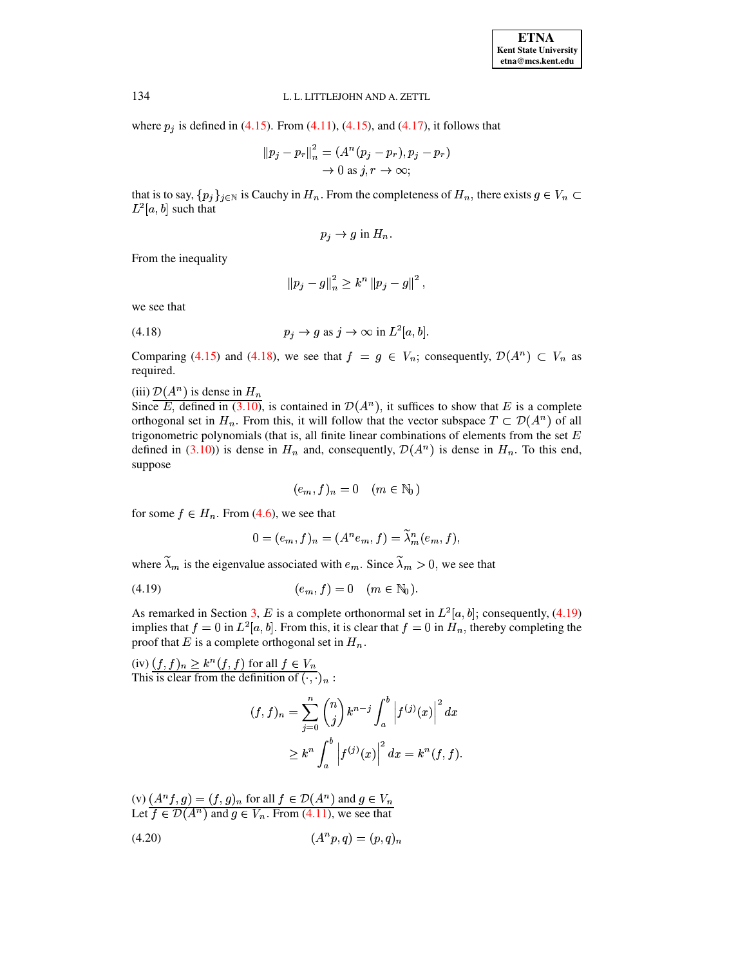L. L. LITTLEJOHN AND A. ZETTL<br>where  $p_j$  is defined in [\(4.15\)](#page-9-2). From [\(4.11\)](#page-8-0), (4.15), and [\(4.17\)](#page-9-3), it follows that<br> $||p_i - p_n||^2 = (A^n (p_i - p_n), p_i - p_n)$ <sup>Ð</sup>  $\sqrt{2}$ nd  $(4.17)$ , it follow<br>  $p_n$ ,  $p_i - p_n$ ) <sup>Ð</sup>

5). From (4.11), (4.15), and (4.17), it follows that  
\n
$$
||p_j - p_r||_n^2 = (A^n (p_j - p_r), p_j - p_r)
$$
  
\n $\rightarrow 0$  as  $j, r \rightarrow \infty$ ;

 $\to 0$  as  $j, r \to \infty;$ <br>that is to say,  $\{p_j\}_{j \in \mathbb{N}}$  is Cauchy in  $H_n$ . From the completeness of  $H_n$ , there exists  $g \in V_n \subset$  $L^2[a, b]$  such that

$$
p_i \rightarrow g
$$
 in  $H_n$ .

From the inequality

$$
\left\lVert p_j - g \right\rVert_n^2 \geq k^n \left\lVert p_j - g \right\rVert^2,
$$

<span id="page-10-0"></span>we see that

we see that  
(4.18) 
$$
p_j \rightarrow g \text{ as } j \rightarrow \infty \text{ in } L^2[a, b].
$$

Comparing [\(4.15\)](#page-9-2) and [\(4.18\)](#page-10-0), we see that  $f = g \in V_n$ ; consequently,  $\mathcal{D}(A^n) \subset V_n$  as required.

(iii)  $\mathcal{D}(A^n)$  is dense in  $H_n$ 

Since E, defined in [\(3.10\)](#page-4-3), is contained in  $\mathcal{D}(A^n)$ , it suffices to show that E is a complete orthogonal set in  $H_n$ . From this, it will follow that the vector subspace  $T \subset \mathcal{D}(A^n)$  of all trigonometric polynomials (that is, all finite linear combinations of elements from the set  $E$ defined in [\(3.10\)](#page-4-3)) is dense in  $H_n$  and, consequently,  $\mathcal{D}(A^n)$  is dense in  $H_n$ . To this end, suppose

<span id="page-10-1"></span>
$$
(e_m, f)_n = 0 \quad (m \in \mathbb{N}_0)
$$

for some  $f \in H_n$ . From [\(4.6\)](#page-7-0), we see that<br> $0 = (e_m, f)_n = (A^n e_n)$ 

$$
0 = (e_m, f)_n = (A^n e_m, f) = \widetilde{\lambda}_m^n (e_m, f),
$$

where  $\widetilde{\lambda}_m$  is the eigenvalue associated with  $e_m$ . Since  $\widetilde{\lambda}_m > 0$ , we see that<br>
(4.19)  $(e_m, f) = 0 \quad (m \in \mathbb{N}_0)$ .

$$
(4.19) \t\t\t(e_m, f) = 0 \t(m \in \mathbb{N}_0).
$$

As remarked in Section [3,](#page-3-0) E is a complete orthonormal set in  $L^2[a, b]$ ; consequently, [\(4.19\)](#page-10-1) implies that  $f=0$  in  $L^2[a, b]$ . From this, it is clear that  $f=0$  in  $H_n$ , thereby completing the proof that E is a complete orthogonal set in  $H_n$ .

(iv)  $(f, f)_n \geq k^n (f, f)$  for all  $f \in V_n$ This is clear from the definition of  $(\cdot, \cdot)_n$ :

<span id="page-10-2"></span>
$$
(f, f)_n = \sum_{j=0}^n {n \choose j} k^{n-j} \int_a^b \left| f^{(j)}(x) \right|^2 dx
$$
  
 
$$
\geq k^n \int_a^b \left| f^{(j)}(x) \right|^2 dx = k^n(f, f).
$$

(v) 
$$
(A^n f, g) = (f, g)_n
$$
 for all  $f \in \mathcal{D}(A^n)$  and  $g \in V_n$   
Let  $f \in \mathcal{D}(A^n)$  and  $g \in V_n$ . From (4.11), we see that  
(4.20)  $(A^n p, q) = (p, q)_n$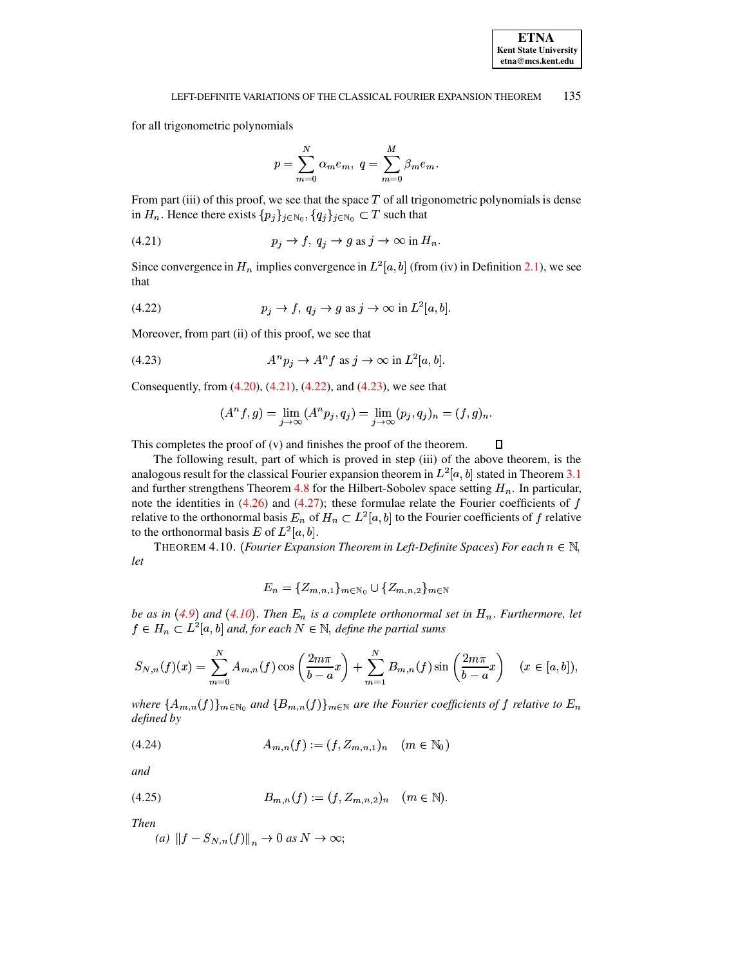for all trigonometric polynomials

<span id="page-11-1"></span>
$$
p = \sum_{m=0}^{N} \alpha_m e_m, \ q = \sum_{m=0}^{M} \beta_m e_m
$$

From part (iii) of this proof, we see that the space  $T$  of all trigonometric polynomials is dense in  $H_n$ . Hence there exists  $\{p_j\}_{j \in \mathbb{N}_0}, \{q_j\}_{j \in \mathbb{N}_0} \subset T$  such that

$$
(4.21) \t\t\t\t\t p_j \to f, \ q_j \to g \text{ as } j \to \infty \text{ in } H_n.
$$

<span id="page-11-2"></span>Since convergence in  $H_n$  implies convergence in  $L^2[a, b]$  (from (iv) in Definition 2.1), we see that

(4.22) 
$$
p_j \to f, q_j \to g \text{ as } j \to \infty \text{ in } L^2[a, b].
$$

Moreover, from part (ii) of this proof, we see that

$$
(4.23) \t\t Anpj \to Anf \text{ as } j \to \infty \text{ in } L2[a, b].
$$

Consequently, from  $(4.20)$ ,  $(4.21)$ ,  $(4.22)$ , and  $(4.23)$ , we see that

<span id="page-11-3"></span>
$$
(An f, g) = \lim_{j \to \infty} (An pj, qj) = \lim_{j \to \infty} (pj, qj)n = (f, g)n.
$$

This completes the proof of  $(v)$  and finishes the proof of the theorem.  $\Box$ 

The following result, part of which is proved in step (iii) of the above theorem, is the analogous result for the classical Fourier expansion theorem in  $L^2[a, b]$  stated in Theorem 3.1 and further strengthens Theorem 4.8 for the Hilbert-Sobolev space setting  $H_n$ . In particular, note the identities in  $(4.26)$  and  $(4.27)$ ; these formulae relate the Fourier coefficients of f relative to the orthonormal basis  $E_n$  of  $H_n \subset L^2[a, b]$  to the Fourier coefficients of f relative to the orthonormal basis E of  $L^2[a, b]$ .

<span id="page-11-0"></span>THEOREM 4.10. (Fourier Expansion Theorem in Left-Definite Spaces) For each  $n \in \mathbb{N}$ , let

$$
E_n = \{Z_{m,n,1}\}_{m \in \mathbb{N}_0} \cup \{Z_{m,n,2}\}_{m \in \mathbb{N}}
$$

be as in (4.9) and (4.10). Then  $E_n$  is a complete orthonormal set in  $H_n$ . Furthermore, let  $f \in H_n \subset L^2[a, b]$  and, for each  $N \in \mathbb{N}$ , define the partial sums

$$
S_{N,n}(f)(x) = \sum_{m=0}^{N} A_{m,n}(f) \cos\left(\frac{2m\pi}{b-a}x\right) + \sum_{m=1}^{N} B_{m,n}(f) \sin\left(\frac{2m\pi}{b-a}x\right) \quad (x \in [a, b]),
$$

where  $\{A_{m,n}(f)\}_{m\in\mathbb{N}_0}$  and  $\{B_{m,n}(f)\}_{m\in\mathbb{N}}$  are the Fourier coefficients of f relative to  $E_n$ defined by

$$
(4.24) \t A_{m,n}(f) := (f, Z_{m,n,1})_n \t (m \in \mathbb{N}_0)
$$

and

$$
(4.25) \t\t B_{m,n}(f) := (f, Z_{m,n,2})_n \t (m \in \mathbb{N}).
$$

**Then** 

(a) 
$$
||f - S_{N,n}(f)||_n \to 0
$$
 as  $N \to \infty$ ;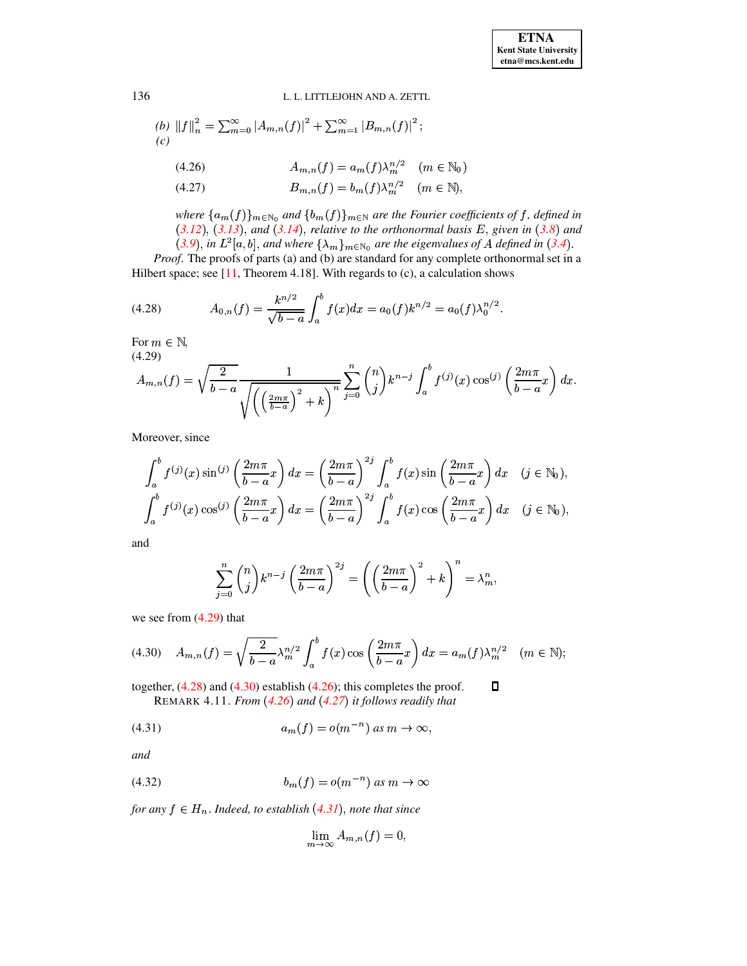<span id="page-12-0"></span>(b) 
$$
||f||_n^2 = \sum_{m=0}^{\infty} |A_{m,n}(f)|^2 + \sum_{m=1}^{\infty} |B_{m,n}(f)|^2
$$
; (c)

(4.26) 
$$
A_{m,n}(f) = a_m(f) \lambda_m^{n/2} \quad (m \in \mathbb{N}_0)
$$

<span id="page-12-1"></span>
$$
(4.27) \t\t B_{m,n}(f) = b_m(f)\lambda_m^{n/2} \t (m \in \mathbb{N}),
$$

<span id="page-12-3"></span>where  $\{a_m(f)\}_{m\in\mathbb{N}_0}$  and  $\{b_m(f)\}_{m\in\mathbb{N}}$  are the Fourier coefficients of f, defined in  $(3.12)$ ,  $(3.13)$ , and  $(3.14)$ , relative to the orthonormal basis E, given in  $(3.8)$  and (3.9), in  $L^2[a,b]$ , and where  $\{\lambda_m\}_{m\in\mathbb{N}_0}$  are the eigenvalues of A defined in (3.4).

Proof. The proofs of parts (a) and (b) are standard for any complete orthonormal set in a Hilbert space; see  $[11,$  Theorem 4.18]. With regards to  $(c)$ , a calculation shows

(4.28) 
$$
A_{0,n}(f) = \frac{k^{n/2}}{\sqrt{b-a}} \int_a^b f(x) dx = a_0(f)k^{n/2} = a_0(f)\lambda_0^{n/2}.
$$

<span id="page-12-2"></span>For  $m \in \mathbb{N}$ ,  $(4.20)$ 

$$
A_{m,n}(f) = \sqrt{\frac{2}{b-a}} \frac{1}{\sqrt{\left(\left(\frac{2m\pi}{b-a}\right)^2 + k\right)^n}} \sum_{j=0}^n {n \choose j} k^{n-j} \int_a^b f^{(j)}(x) \cos^{(j)}\left(\frac{2m\pi}{b-a}x\right) dx
$$

Moreover, since

$$
\int_a^b f^{(j)}(x) \sin^{(j)}\left(\frac{2m\pi}{b-a}x\right) dx = \left(\frac{2m\pi}{b-a}\right)^{2j} \int_a^b f(x) \sin\left(\frac{2m\pi}{b-a}x\right) dx \quad (j \in \mathbb{N}_0),
$$
  

$$
\int_a^b f^{(j)}(x) \cos^{(j)}\left(\frac{2m\pi}{b-a}x\right) dx = \left(\frac{2m\pi}{b-a}\right)^{2j} \int_a^b f(x) \cos\left(\frac{2m\pi}{b-a}x\right) dx \quad (j \in \mathbb{N}_0),
$$

and

$$
\sum_{j=0}^n \binom{n}{j} k^{n-j} \left(\frac{2m\pi}{b-a}\right)^{2j} = \left(\left(\frac{2m\pi}{b-a}\right)^2 + k\right)^n = \lambda_m^n,
$$

<span id="page-12-4"></span>we see from  $(4.29)$  that

$$
(4.30) \quad A_{m,n}(f) = \sqrt{\frac{2}{b-a}} \lambda_m^{n/2} \int_a^b f(x) \cos\left(\frac{2m\pi}{b-a}x\right) dx = a_m(f) \lambda_m^{n/2} \quad (m \in \mathbb{N});
$$

together,  $(4.28)$  and  $(4.30)$  establish  $(4.26)$ ; this completes the proof.  $\Box$ REMARK 4.11. From  $(4.26)$  and  $(4.27)$  it follows readily that

$$
(4.31) \t\t a_m(f) = o(m^{-n}) \text{ as } m \to \infty,
$$

<span id="page-12-6"></span>and

$$
(4.32) \t\t\t b_m(f) = o(m^{-n}) \text{ as } m \to \infty
$$

for any  $f \in H_n$ . Indeed, to establish (4.31), note that since

<span id="page-12-5"></span>
$$
\lim_{m \to \infty} A_{m,n}(f) = 0,
$$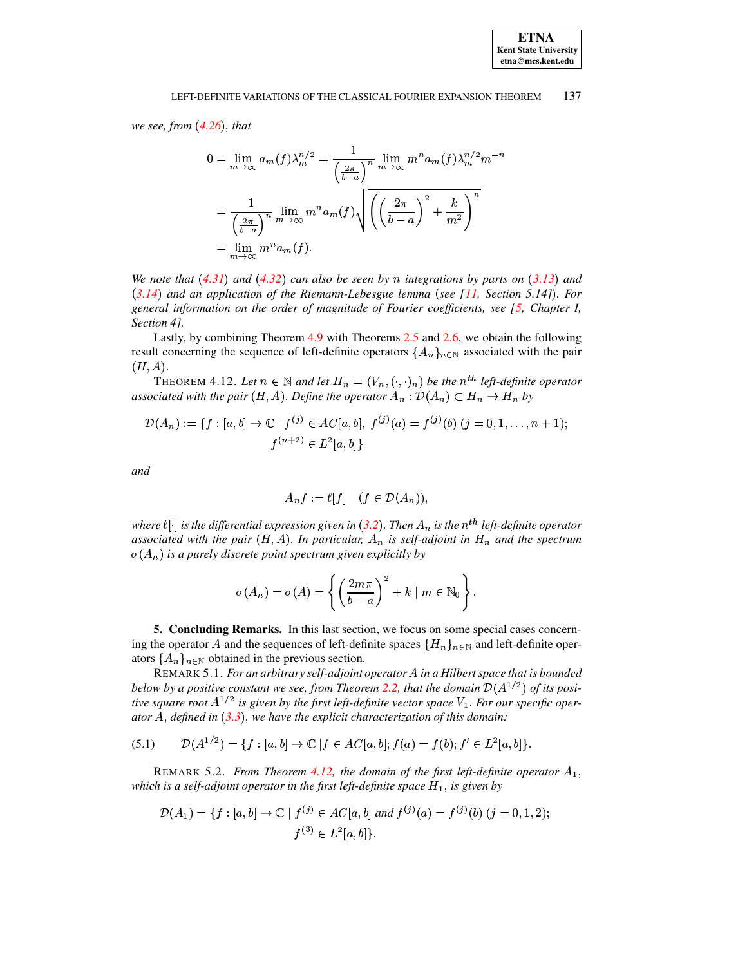we see, from  $(4.26)$ , that

$$
0 = \lim_{m \to \infty} a_m(f) \lambda_m^{n/2} = \frac{1}{\left(\frac{2\pi}{b-a}\right)^n} \lim_{m \to \infty} m^n a_m(f) \lambda_m^{n/2} m^{-r}
$$

$$
= \frac{1}{\left(\frac{2\pi}{b-a}\right)^n} \lim_{m \to \infty} m^n a_m(f) \sqrt{\left(\left(\frac{2\pi}{b-a}\right)^2 + \frac{k}{m^2}\right)^n}
$$

$$
= \lim_{m \to \infty} m^n a_m(f).
$$

We note that  $(4.31)$  and  $(4.32)$  can also be seen by n integrations by parts on  $(3.13)$  and  $(3.14)$  and an application of the Riemann-Lebesgue lemma (see [11, Section 5.14]). For general information on the order of magnitude of Fourier coefficients, see  $[5,$  Chapter I, Section 4].

Lastly, by combining Theorem  $4.9$  with Theorems 2.5 and 2.6, we obtain the following result concerning the sequence of left-definite operators  $\{A_n\}_{n\in\mathbb{N}}$  associated with the pair  $(H, A).$ 

<span id="page-13-1"></span>THEOREM 4.12. Let  $n \in \mathbb{N}$  and let  $H_n = (V_n, (\cdot, \cdot)_n)$  be the  $n^{th}$  left-definite operator associated with the pair  $(H, A)$ . Define the operator  $A_n : \mathcal{D}(A_n) \subset H_n \to H_n$  by

$$
\mathcal{D}(A_n) := \{ f : [a, b] \to \mathbb{C} \mid f^{(j)} \in AC[a, b], f^{(j)}(a) = f^{(j)}(b) \ (j = 0, 1, \dots, n+1); \}
$$
\n
$$
f^{(n+2)} \in L^2[a, b] \}
$$

and

$$
A_n f := \ell[f] \quad (f \in \mathcal{D}(A_n)),
$$

where  $\ell[\cdot]$  is the differential expression given in (3.2). Then  $A_n$  is the  $n^{th}$  left-definite operator associated with the pair  $(H, A)$ . In particular,  $A_n$  is self-adjoint in  $H_n$  and the spectrum  $\sigma(A_n)$  is a purely discrete point spectrum given explicitly by

<span id="page-13-2"></span>
$$
\sigma(A_n) = \sigma(A) = \left\{ \left( \frac{2m\pi}{b-a} \right)^2 + k \mid m \in \mathbb{N}_0 \right\}.
$$

<span id="page-13-0"></span>5. Concluding Remarks. In this last section, we focus on some special cases concerning the operator A and the sequences of left-definite spaces  $\{H_n\}_{n\in\mathbb{N}}$  and left-definite operators  $\{A_n\}_{n\in\mathbb{N}}$  obtained in the previous section.

REMARK 5.1. For an arbitrary self-adjoint operator A in a Hilbert space that is bounded below by a positive constant we see, from Theorem 2.2, that the domain  $\mathcal{D}(A^{1/2})$  of its positive square root  $A^{1/2}$  is given by the first left-definite vector space  $V_1$ . For our specific operator A, defined in  $(3.3)$ , we have the explicit characterization of this domain:

$$
(5.1) \qquad \mathcal{D}(A^{1/2}) = \{f : [a, b] \to \mathbb{C} \mid f \in AC[a, b]; f(a) = f(b); f' \in L^2[a, b] \}.
$$

REMARK 5.2. From Theorem 4.12, the domain of the first left-definite operator  $A_1$ , which is a self-adjoint operator in the first left-definite space  $H_1$ , is given by

$$
\mathcal{D}(A_1) = \{ f : [a, b] \to \mathbb{C} \mid f^{(j)} \in AC[a, b] \text{ and } f^{(j)}(a) = f^{(j)}(b) \text{ } (j = 0, 1, 2); \}
$$

$$
f^{(3)} \in L^2[a, b] \}.
$$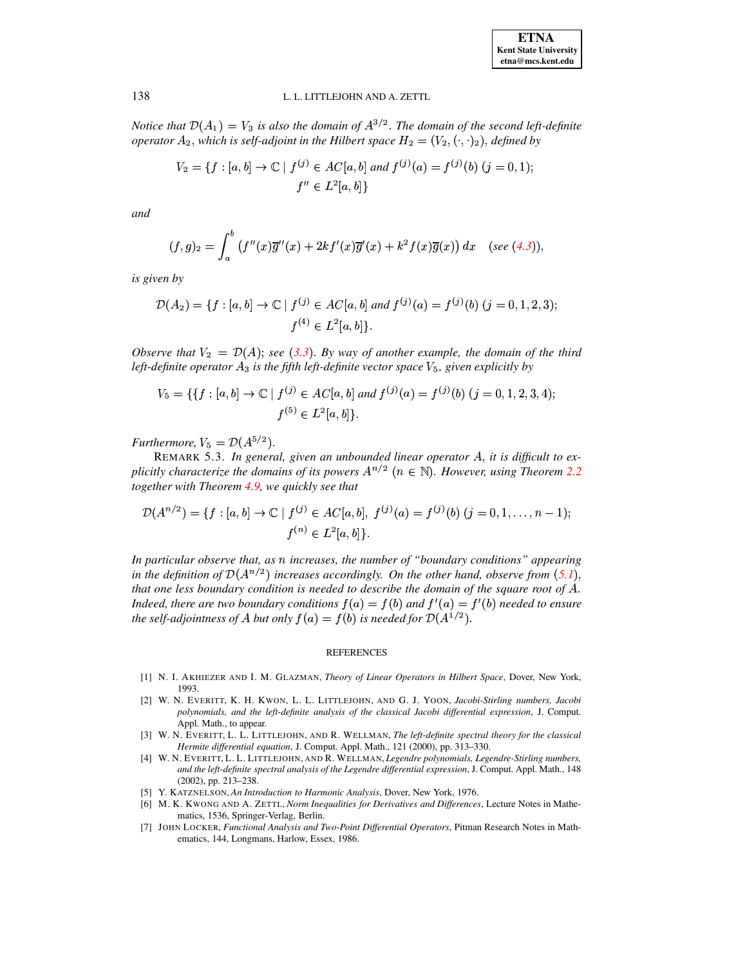Notice that  $\mathcal{D}(A_1) = V_3$  is also the domain of  $A^{3/2}$ . The domain of the second left-definite operator  $A_2$ , which is self-adjoint in the Hilbert space  $H_2 = (V_2, (\cdot, \cdot)_2)$ , defined by

$$
V_2 = \{ f : [a, b] \to \mathbb{C} \mid f^{(j)} \in AC[a, b] \text{ and } f^{(j)}(a) = f^{(j)}(b) \text{ } (j = 0, 1);
$$
  

$$
f'' \in L^2[a, b] \}
$$

and

$$
(f,g)_2=\int_a^b\left(f''(x)\overline{g}''(x)+2kf'(x)\overline{g}'(x)+k^2f(x)\overline{g}(x)\right)dx\quad(\text{see (4.3))},
$$

is given by

$$
\mathcal{D}(A_2) = \{ f : [a, b] \to \mathbb{C} \mid f^{(j)} \in AC[a, b] \text{ and } f^{(j)}(a) = f^{(j)}(b) \text{ } (j = 0, 1, 2, 3); \}
$$

$$
f^{(4)} \in L^2[a, b] \}.
$$

Observe that  $V_2 = \mathcal{D}(A)$ ; see (3.3). By way of another example, the domain of the third left-definite operator  $A_3$  is the fifth left-definite vector space  $V_5$ , given explicitly by

$$
V_5 = \{ \{ f : [a, b] \to \mathbb{C} \mid f^{(j)} \in AC[a, b] \text{ and } f^{(j)}(a) = f^{(j)}(b) \text{ } (j = 0, 1, 2, 3, 4); \}
$$
  

$$
f^{(5)} \in L^2[a, b] \}.
$$

Furthermore,  $V_5 = \mathcal{D}(A^{5/2})$ .

REMARK 5.3. In general, given an unbounded linear operator A, it is difficult to explicitly characterize the domains of its powers  $A^{n/2}$   $(n \in \mathbb{N})$ . However, using Theorem 2.2 together with Theorem 4.9, we quickly see that

$$
\mathcal{D}(A^{n/2}) = \{f : [a, b] \to \mathbb{C} \mid f^{(j)} \in AC[a, b], f^{(j)}(a) = f^{(j)}(b) \ (j = 0, 1, \dots, n-1); \\
 f^{(n)} \in L^2[a, b]\}.
$$

In particular observe that, as  $n$  increases, the number of "boundary conditions" appearing in the definition of  $\mathcal{D}(A^{n/2})$  increases accordingly. On the other hand, observe from  $(5.1)$ , that one less boundary condition is needed to describe the domain of the square root of A. Indeed, there are two boundary conditions  $f(a) = f(b)$  and  $f'(a) = f'(b)$  needed to ensure the self-adjointness of A but only  $f(a) = f(b)$  is needed for  $\mathcal{D}(A^{1/2})$ .

#### **REFERENCES**

- [1] N. I. AKHIEZER AND I. M. GLAZMAN, Theory of Linear Operators in Hilbert Space, Dover, New York, 1993.
- <span id="page-14-0"></span>[2] W. N. EVERITT, K. H. KWON, L. L. LITTLEJOHN, AND G. J. YOON, Jacobi-Stirling numbers, Jacobi polynomials, and the left-definite analysis of the classical Jacobi differential expression, J. Comput. Appl. Math., to appear.
- <span id="page-14-1"></span>[3] W. N. EVERITT, L. L. LITTLEJOHN, AND R. WELLMAN, The left-definite spectral theory for the classical Hermite differential equation, J. Comput. Appl. Math., 121 (2000), pp. 313-330.
- <span id="page-14-2"></span>[4] W. N. EVERITT, L. L. LITTLEJOHN, AND R. WELLMAN, Legendre polynomials, Legendre-Stirling numbers, and the left-definite spectral analysis of the Legendre differential expression, J. Comput. Appl. Math., 148  $(2002)$ , pp. 213-238.
- <span id="page-14-5"></span>[5] Y. KATZNELSON, An Introduction to Harmonic Analysis, Dover, New York, 1976.
- <span id="page-14-4"></span>[6] M. K. KWONG AND A. ZETTL, Norm Inequalities for Derivatives and Differences, Lecture Notes in Mathematics, 1536, Springer-Verlag, Berlin.
- <span id="page-14-3"></span>[7] JOHN LOCKER, Functional Analysis and Two-Point Differential Operators, Pitman Research Notes in Mathematics, 144, Longmans, Harlow, Essex, 1986.